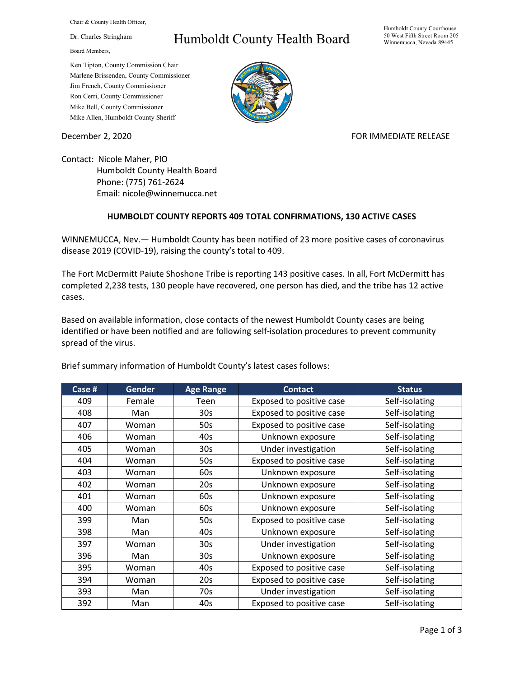Chair & County Health Officer,

Dr. Charles Stringham

Board Members,

## Humboldt County Health Board

Humboldt County Courthouse 50 West Fifth Street Room 205 Winnemucca, Nevada 89445

Ken Tipton, County Commission Chair Marlene Brissenden, County Commissioner Jim French, County Commissioner Ron Cerri, County Commissioner Mike Bell, County Commissioner Mike Allen, Humboldt County Sheriff

December 2, 2020 **FOR IMMEDIATE RELEASE** 

Contact: Nicole Maher, PIO Humboldt County Health Board Phone: (775) 761-2624 Email: nicole@winnemucca.net

## **HUMBOLDT COUNTY REPORTS 409 TOTAL CONFIRMATIONS, 130 ACTIVE CASES**

WINNEMUCCA, Nev.— Humboldt County has been notified of 23 more positive cases of coronavirus disease 2019 (COVID-19), raising the county's total to 409.

The Fort McDermitt Paiute Shoshone Tribe is reporting 143 positive cases. In all, Fort McDermitt has completed 2,238 tests, 130 people have recovered, one person has died, and the tribe has 12 active cases.

Based on available information, close contacts of the newest Humboldt County cases are being identified or have been notified and are following self-isolation procedures to prevent community spread of the virus.

**Case # Gender Age Range Contact Status** 409 | Female | Teen | Exposed to positive case | Self-isolating 408 | Man | 30s | Exposed to positive case | Self-isolating 407 | Woman | 50s | Exposed to positive case | Self-isolating 406 | Woman | 40s | Unknown exposure | Self-isolating 405 | Woman | 30s | Under investigation | Self-isolating 404 | Woman | 50s | Exposed to positive case | Self-isolating 403 | Woman | 60s | Unknown exposure | Self-isolating 402 | Woman | 20s | Unknown exposure | Self-isolating 401 | Woman | 60s | Unknown exposure | Self-isolating 400 Woman 60s Unknown exposure Self-isolating 399 | Man | 50s | Exposed to positive case | Self-isolating 398 | Man | 40s | Unknown exposure | Self-isolating 397 | Woman | 30s | Under investigation | Self-isolating 396 | Man | 30s | Unknown exposure | Self-isolating 395 | Woman | 40s | Exposed to positive case | Self-isolating 394 | Woman | 20s | Exposed to positive case | Self-isolating 393 | Man | 70s | Under investigation | Self-isolating 392 | Man | 40s | Exposed to positive case | Self-isolating

Brief summary information of Humboldt County's latest cases follows: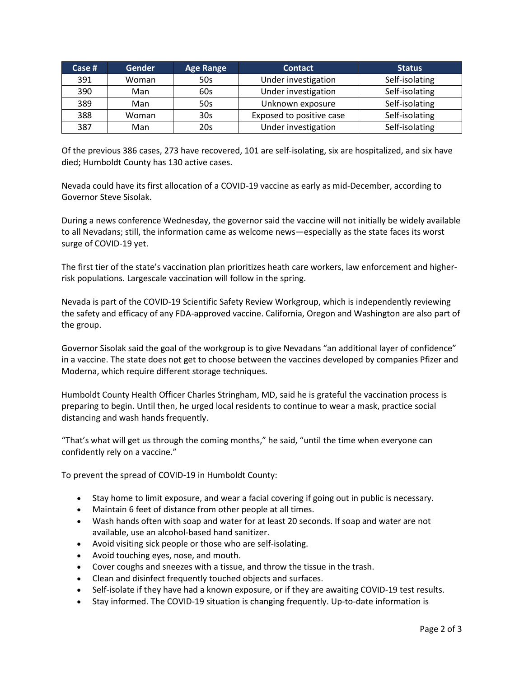| Case $#$ | <b>Gender</b> | <b>Age Range</b> | <b>Contact</b>           | <b>Status</b>  |
|----------|---------------|------------------|--------------------------|----------------|
| 391      | Woman         | 50s              | Under investigation      | Self-isolating |
| 390      | Man           | 60s              | Under investigation      | Self-isolating |
| 389      | Man           | 50s              | Unknown exposure         | Self-isolating |
| 388      | Woman         | 30 <sub>s</sub>  | Exposed to positive case | Self-isolating |
| 387      | Man           | 20s              | Under investigation      | Self-isolating |

Of the previous 386 cases, 273 have recovered, 101 are self-isolating, six are hospitalized, and six have died; Humboldt County has 130 active cases.

Nevada could have its first allocation of a COVID-19 vaccine as early as mid-December, according to Governor Steve Sisolak.

During a news conference Wednesday, the governor said the vaccine will not initially be widely available to all Nevadans; still, the information came as welcome news—especially as the state faces its worst surge of COVID-19 yet.

The first tier of the state's vaccination plan prioritizes heath care workers, law enforcement and higherrisk populations. Largescale vaccination will follow in the spring.

Nevada is part of the COVID-19 Scientific Safety Review Workgroup, which is independently reviewing the safety and efficacy of any FDA-approved vaccine. California, Oregon and Washington are also part of the group.

Governor Sisolak said the goal of the workgroup is to give Nevadans "an additional layer of confidence" in a vaccine. The state does not get to choose between the vaccines developed by companies Pfizer and Moderna, which require different storage techniques.

Humboldt County Health Officer Charles Stringham, MD, said he is grateful the vaccination process is preparing to begin. Until then, he urged local residents to continue to wear a mask, practice social distancing and wash hands frequently.

"That's what will get us through the coming months," he said, "until the time when everyone can confidently rely on a vaccine."

To prevent the spread of COVID-19 in Humboldt County:

- Stay home to limit exposure, and wear a facial covering if going out in public is necessary.
- Maintain 6 feet of distance from other people at all times.
- Wash hands often with soap and water for at least 20 seconds. If soap and water are not available, use an alcohol-based hand sanitizer.
- Avoid visiting sick people or those who are self-isolating.
- Avoid touching eyes, nose, and mouth.
- Cover coughs and sneezes with a tissue, and throw the tissue in the trash.
- Clean and disinfect frequently touched objects and surfaces.
- Self-isolate if they have had a known exposure, or if they are awaiting COVID-19 test results.
- Stay informed. The COVID-19 situation is changing frequently. Up-to-date information is